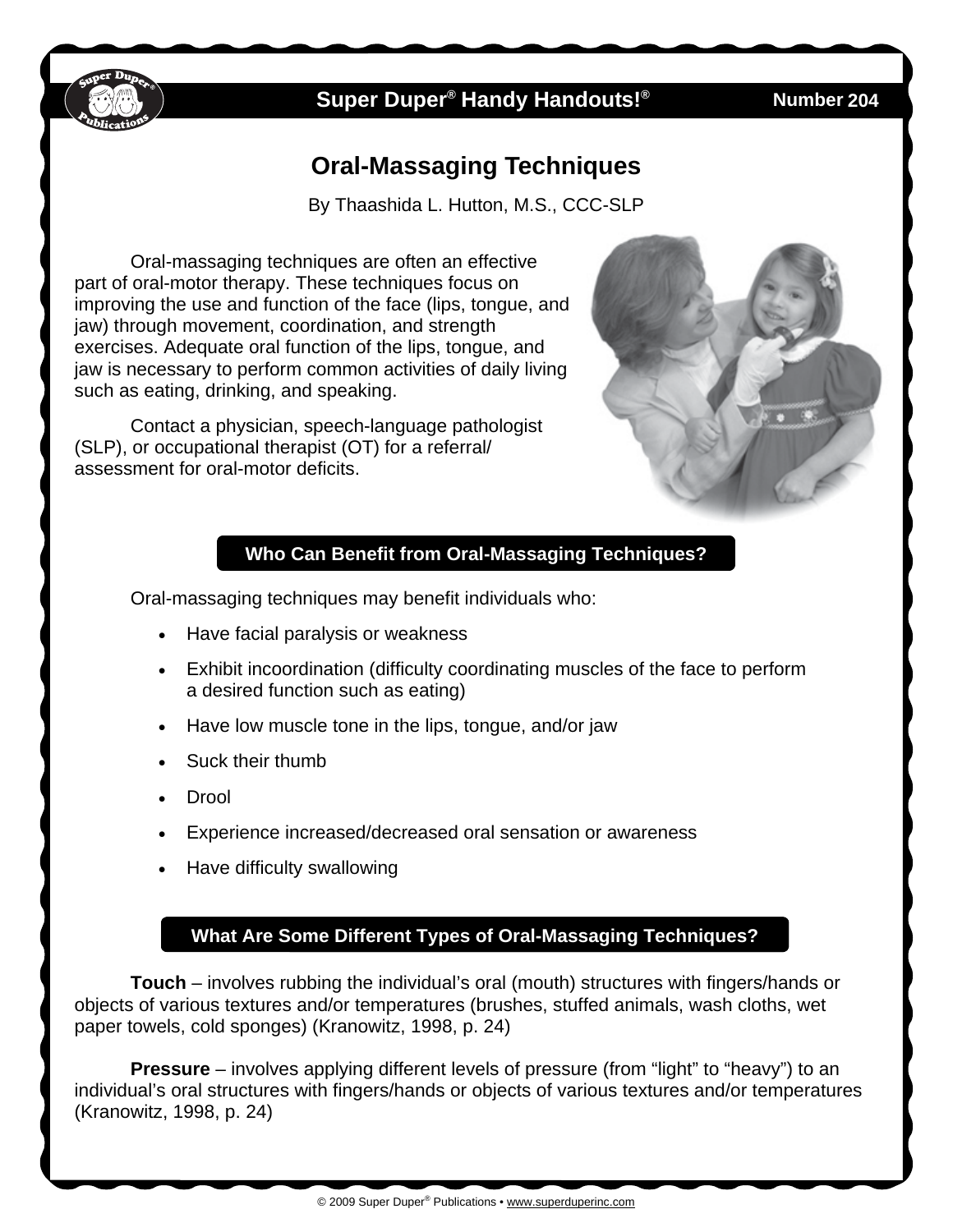

## **Super Duper<sup>®</sup> Handy Handouts!®**

**Number 204** 

# **Oral-Massaging Techniques**

By Thaashida L. Hutton, M.S., CCC-SLP

Oral-massaging techniques are often an effective part of oral-motor therapy. These techniques focus on improving the use and function of the face (lips, tongue, and jaw) through movement, coordination, and strength exercises. Adequate oral function of the lips, tongue, and jaw is necessary to perform common activities of daily living such as eating, drinking, and speaking.

Contact a physician, speech-language pathologist (SLP), or occupational therapist (OT) for a referral/ assessment for oral-motor deficits.



### **Who Can Benefit from Oral-Massaging Techniques?**

Oral-massaging techniques may benefit individuals who:

- Have facial paralysis or weakness
- Exhibit incoordination (difficulty coordinating muscles of the face to perform a desired function such as eating)
- Have low muscle tone in the lips, tongue, and/or jaw
- Suck their thumb
- Drool
- Experience increased/decreased oral sensation or awareness
- Have difficulty swallowing

### **What Are Some Different Types of Oral-Massaging Techniques?**

**Touch** – involves rubbing the individual's oral (mouth) structures with fingers/hands or objects of various textures and/or temperatures (brushes, stuffed animals, wash cloths, wet paper towels, cold sponges) (Kranowitz, 1998, p. 24)

**Pressure** – involves applying different levels of pressure (from "light" to "heavy") to an individual's oral structures with fingers/hands or objects of various textures and/or temperatures (Kranowitz, 1998, p. 24)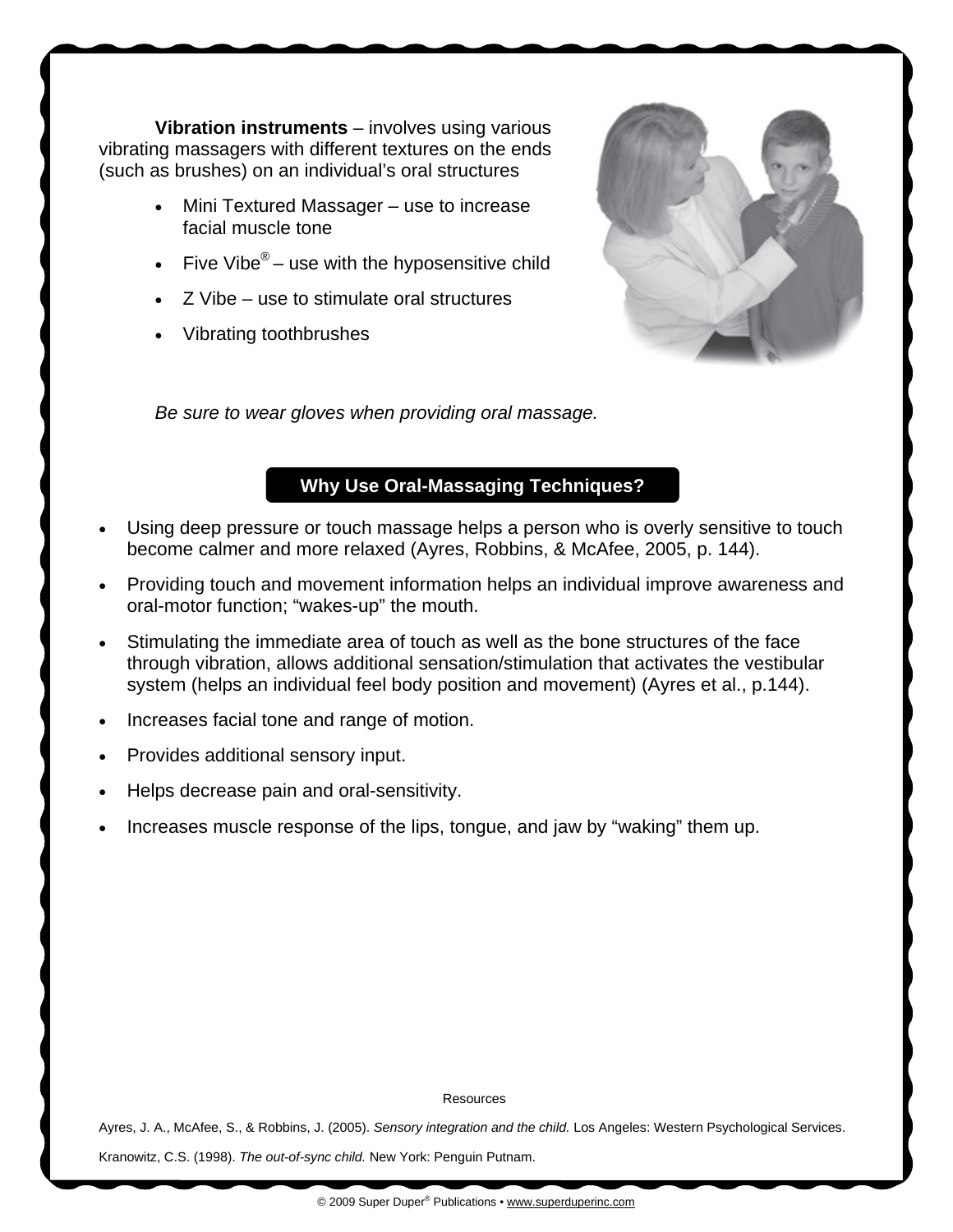**Vibration instruments** – involves using various vibrating massagers with different textures on the ends (such as brushes) on an individual's oral structures

- Mini Textured Massager use to increase facial muscle tone
- Five Vibe $^{\circledR}$  use with the hyposensitive child
- Z Vibe use to stimulate oral structures
- Vibrating toothbrushes



*Be sure to wear gloves when providing oral massage.* 

#### **Why Use Oral-Massaging Techniques?**

- Using deep pressure or touch massage helps a person who is overly sensitive to touch become calmer and more relaxed (Ayres, Robbins, & McAfee, 2005, p. 144).
- Providing touch and movement information helps an individual improve awareness and oral-motor function; "wakes-up" the mouth.
- Stimulating the immediate area of touch as well as the bone structures of the face through vibration, allows additional sensation/stimulation that activates the vestibular system (helps an individual feel body position and movement) (Ayres et al., p.144).
- Increases facial tone and range of motion.
- Provides additional sensory input.
- Helps decrease pain and oral-sensitivity.
- Increases muscle response of the lips, tongue, and jaw by "waking" them up.

#### **Resources**

Ayres, J. A., McAfee, S., & Robbins, J. (2005). *Sensory integration and the child.* Los Angeles: Western Psychological Services. Kranowitz, C.S. (1998). *The out-of-sync child.* New York: Penguin Putnam.